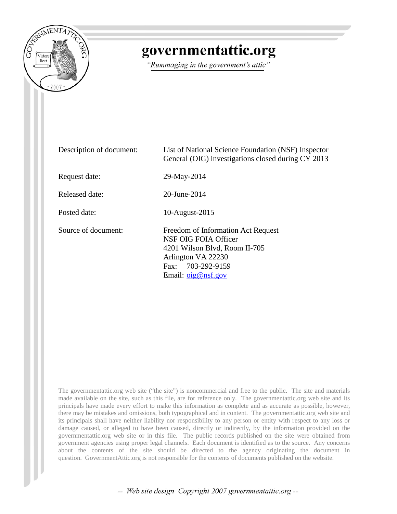

## governmentattic.org

"Rummaging in the government's attic"

| Description of document: | List of National Science Foundation (NSF) Inspector<br>General (OIG) investigations closed during CY 2013                                                            |
|--------------------------|----------------------------------------------------------------------------------------------------------------------------------------------------------------------|
| Request date:            | 29-May-2014                                                                                                                                                          |
| Released date:           | 20-June-2014                                                                                                                                                         |
| Posted date:             | 10-August-2015                                                                                                                                                       |
| Source of document:      | Freedom of Information Act Request<br>NSF OIG FOIA Officer<br>4201 Wilson Blvd, Room II-705<br>Arlington VA 22230<br>Fax: 703-292-9159<br>Email: $\sigma$ ig@nsf.gov |

The governmentattic.org web site ("the site") is noncommercial and free to the public. The site and materials made available on the site, such as this file, are for reference only. The governmentattic.org web site and its principals have made every effort to make this information as complete and as accurate as possible, however, there may be mistakes and omissions, both typographical and in content. The governmentattic.org web site and its principals shall have neither liability nor responsibility to any person or entity with respect to any loss or damage caused, or alleged to have been caused, directly or indirectly, by the information provided on the governmentattic.org web site or in this file. The public records published on the site were obtained from government agencies using proper legal channels. Each document is identified as to the source. Any concerns about the contents of the site should be directed to the agency originating the document in question. GovernmentAttic.org is not responsible for the contents of documents published on the website.

-- Web site design Copyright 2007 governmentattic.org --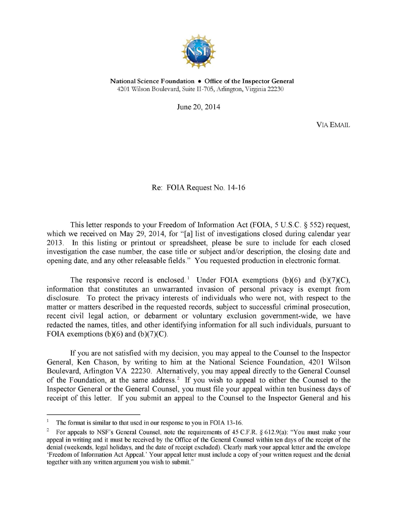

National Science Foundation • Office of the Inspector General 4201 Wilson Boulevard, Suite II-705, Arlington, Virginia 22230

June 20, 2014

VIA EMAIL

Re: FOIA Request No. 14-16

This letter responds to your Freedom of Information Act (FOIA, 5 U.S.C. § 552) request, which we received on May 29, 2014, for "[a] list of investigations closed during calendar year 2013. In this listing or printout or spreadsheet, please be sure to include for each closed investigation the case number, the case title or subject and/or description, the closing date and opening date, and any other releasable fields." You requested production in electronic format.

The responsive record is enclosed.<sup>[1](#page-1-0)</sup> Under FOIA exemptions (b)(6) and (b)(7)(C), information that constitutes an unwarranted invasion of personal privacy is exempt from disclosure. To protect the privacy interests of individuals who were not, with respect to the matter or matters described in the requested records, subject to successful criminal prosecution, recent civil legal action, or debarment or voluntary exclusion government-wide, we have redacted the names, titles, and other identifying information for all such individuals, pursuant to FOIA exemptions  $(b)(6)$  and  $(b)(7)(C)$ .

If you are not satisfied with my decision, you may appeal to the Counsel to the Inspector General, Ken Chason, by writing to him at the National Science Foundation, 4201 Wilson Boulevard, Arlington VA 22230. Alternatively, you may appeal directly to the General Counsel of the Foundation, at the same address.<sup>2</sup> If you wish to appeal to either the Counsel to the Inspector General or the General Counsel, you must file your appeal within ten business days of receipt of this letter. If you submit an appeal to the Counsel to the Inspector General and his

<span id="page-1-0"></span> $\mathbf{f}$ The format is similar to that used in our response to you in FOIA 13-16.

<span id="page-1-1"></span><sup>&</sup>lt;sup>2</sup> For appeals to NSF's General Counsel, note the requirements of 45 C.F.R.  $\S 612.9(a)$ : "You must make your appeal in writing and it must be received by the Office of the General Counsel within ten days of the receipt of the denial (weekends, legal holidays, and the date of receipt excluded). Clearly mark your appeal letter and the envelope 'Freedom of Information Act Appeal.' Your appeal letter must include a copy of your written request and the denial together with any written argument you wish to submit."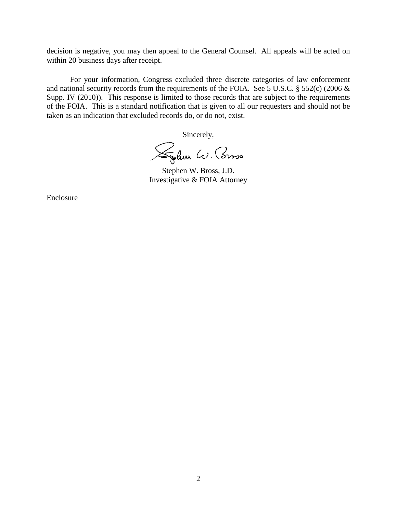decision is negative, you may then appeal to the General Counsel. All appeals will be acted on within 20 business days after receipt.

For your information, Congress excluded three discrete categories of law enforcement and national security records from the requirements of the FOIA. See 5 U.S.C. § 552(c) (2006 & Supp. IV (2010)). This response is limited to those records that are subject to the requirements of the FOIA. This is a standard notification that is given to all our requesters and should not be taken as an indication that excluded records do, or do not, exist.

Sincerely,

Syden W. Coroso

Stephen W. Bross, J.D. Investigative & FOIA Attorney

Enclosure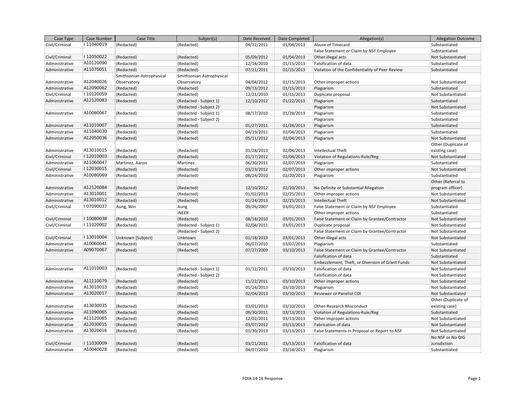| Case Type      | Case Number | Case Title                | Subject(s)                | Date Received | Date Completed | Allegation(s)                                    | <b>Allegation Outcome</b> |
|----------------|-------------|---------------------------|---------------------------|---------------|----------------|--------------------------------------------------|---------------------------|
| Civil/Criminal | I11040019   | (Redacted)                | (Redacted)                | 04/22/2011    | 01/04/2013     | Abuse of Timecard                                | Substantiated             |
|                |             |                           |                           |               |                | False Statement or Claim by NSF Employee         | Substantiated             |
| Civil/Criminal | I12050022   | (Redacted)                | (Redacted)                | 05/09/2012    | 01/04/2013     | Other illegal acts                               | Not Substantiated         |
| Administrative | A10120090   | (Redacted)                | (Redacted)                | 12/14/2010    | 01/15/2013     | Falsification of data                            | Substantiated             |
| Administrative | A11070051   | (Redacted)                | (Redacted)                | 07/21/2011    | 01/15/2013     | Violation of the Confidentiality of Peer Review  | Substantiated             |
|                |             | Smithsonian Astrophysical | Smithsonian Astrophysical |               |                |                                                  |                           |
| Administrative | A12040026   | Observatory               | Observatory               | 04/04/2012    | 01/15/2013     | Other improper actions                           | Not Substantiated         |
| Administrative | A12090062   | (Redacted)                | (Redacted)                | 09/13/2012    | 01/15/2013     | Plagiarism                                       | Substantiated             |
| Civil/Criminal | I10120059   | (Redacted)                | (Redacted)                | 12/21/2010    | 01/15/2013     | Duplicate proposal                               | Not Substantiated         |
| Administrative | A12120083   | (Redacted)                | (Redacted - Subject 1)    | 12/10/2012    | 01/22/2013     | Plagiarism                                       | Substantiated             |
|                |             |                           | (Redacted - Subject 2)    |               |                | Plagiarism                                       | Not Substantiated         |
| Administrative | A10080067   | (Redacted)                | (Redacted - Subject 1)    | 08/17/2010    | 01/28/2013     | Plagiarism                                       | Substantiated             |
|                |             |                           | (Redacted - Subject 2)    |               |                | Plagiarism                                       | Substantiated             |
| Administrative | A11010007   | (Redacted)                | (Redacted)                | 01/27/2011    | 01/28/2013     | Plagiarism                                       | Substantiated             |
| Administrative | A11040030   | (Redacted)                | (Redacted)                | 04/19/2011    | 02/04/2013     | Plagiarism                                       | Substantiated             |
| Administrative | A12050036   | (Redacted)                | (Redacted)                | 05/11/2012    | 02/04/2013     | Plagiarism                                       | Not Substantiated         |
|                |             |                           |                           |               |                |                                                  | Other (Duplicate of       |
| Administrative | A13010015   | (Redacted)                | (Redacted)                | 01/28/2013    | 02/04/2013     | Intellectual Theft                               | existing case)            |
| Civil/Criminal | I12010003   | (Redacted)                | (Redacted)                | 01/17/2012    | 02/04/2013     | Violation of Regulations-Rule/Reg                | Not Substantiated         |
| Administrative | A11060047   | Martinez, Aaron           | Martinez                  | 06/30/2011    | 02/07/2013     | Plagiarism                                       | Substantiated             |
| Civil/Criminal | I12030015   | (Redacted)                | (Redacted)                | 03/23/2012    | 02/07/2013     | Other improper actions                           | Not Substantiated         |
| Administrative | A10080069   | (Redacted)                | (Redacted)                | 08/24/2010    | 02/20/2013     | Plagiarism                                       | Substantiated             |
|                |             |                           |                           |               |                |                                                  | Other (Referral to        |
| Administrative | A12120084   | (Redacted)                | (Redacted)                | 12/10/2012    | 02/20/2013     | No Definite or Substantial Allegation            | program officer)          |
| Administrative | A13010001   | (Redacted)                | (Redacted)                | 01/02/2013    | 02/25/2013     | Other improper actions                           | Not Substantiated         |
| Administrative | A13010012   | (Redacted)                | (Redacted)                | 01/24/2013    | 02/25/2013     | Intellectual Theft                               | Not Substantiated         |
| Civil/Criminal | I07090037   | Aung, Win                 | Aung                      | 09/26/2007    | 03/01/2013     | False Statement or Claim by NSF Employee         | Substantiated             |
|                |             |                           | <b>iNEER</b>              |               |                | Other improper actions                           | Substantiated             |
| Civil/Criminal | I10080038   | (Redacted)                | (Redacted)                | 08/18/2010    | 03/01/2013     | False Statement or Claim by Grantee/Contractor   | Not Substantiated         |
| Civil/Criminal | I11020002   | (Redacted)                | (Redacted - Subject 1)    | 02/04/2011    | 03/01/2013     | Duplicate proposal                               | Not Substantiated         |
|                |             |                           | (Redacted - Subject 2)    |               |                | False Statement or Claim by Grantee/Contractor   | Not Substantiated         |
| Civil/Criminal | I13010004   | Unknown [Subject]         | Unknown                   | 01/18/2013    | 03/01/2013     | Other illegal acts                               | Not Substantiated         |
| Administrative | A10060041   | (Redacted)                | (Redacted)                | 06/07/2010    | 03/07/2013     | Plagiarism                                       | Substantiated             |
| Administrative | A09070067   | (Redacted)                | (Redacted)                | 07/27/2009    | 03/10/2013     | False Statement or Claim by Grantee/Contractor   | Not Substantiated         |
|                |             |                           |                           |               |                | Falsification of data                            | Substantiated             |
|                |             |                           |                           |               |                | Embezzlement, Theft, or Diversion of Grant Funds | Not Substantiated         |
| Administrative | A11010003   | (Redacted)                | (Redacted - Subject 1)    | 01/12/2011    | 03/10/2013     | Falsification of data                            | Not Substantiated         |
|                |             |                           | (Redacted - Subject 2)    |               |                | Falsification of data                            | Not Substantiated         |
| Administrative | A11110079   | (Redacted)                | (Redacted)                | 11/22/2011    | 03/10/2013     | Other improper actions                           | Not Substantiated         |
| Administrative | A13010013   | (Redacted)                | (Redacted)                | 01/24/2013    | 03/10/2013     | Plagiarism                                       | Not Substantiated         |
| Administrative | A13020017   | (Redacted)                | (Redacted)                | 02/04/2013    | 03/10/2013     | Reviewer or Panelist COI                         | Not Substantiated         |
|                |             |                           |                           |               |                |                                                  | Other (Duplicate of       |
| Administrative | A13030035   | (Redacted)                | (Redacted)                | 03/01/2013    | 03/10/2013     | Other-Research Misconduct                        | existing case)            |
| Administrative | A11090065   | (Redacted)                | (Redacted)                | 09/30/2011    | 03/13/2013     | Violation of Regulations-Rule/Reg                | Substantiated             |
| Administrative | A11120085   | (Redacted)                | (Redacted)                | 12/02/2011    | 03/13/2013     | Other improper actions                           | Not Substantiated         |
| Administrative | A12030015   | (Redacted)                | (Redacted)                | 03/07/2012    | 03/13/2013     | Fabrication of data                              | Not Substantiated         |
| Administrative | A13020016   | (Redacted)                | (Redacted)                | 01/30/2013    | 03/13/2013     | False Statements in Proposal or Report to NSF    | Not Substantiated         |
|                |             |                           |                           |               |                |                                                  | No NSF or No OIG          |
| Civil/Criminal | I11030009   | (Redacted)                | (Redacted)                | 03/21/2011    | 03/13/2013     | Falsification of data                            | Jurisdiction              |
| Administrative | A10040028   | (Redacted)                | (Redacted)                | 04/07/2010    | 03/14/2013     | Plagiarism                                       | Substantiated             |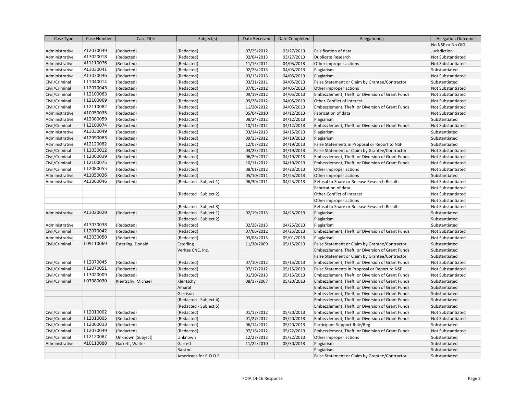| Case Type      | Case Number | Case Title         | Subject(s)             | Date Received | Date Completed | Allegation(s)                                    | <b>Allegation Outcome</b> |
|----------------|-------------|--------------------|------------------------|---------------|----------------|--------------------------------------------------|---------------------------|
|                |             |                    |                        |               |                |                                                  | No NSF or No OIG          |
| Administrative | A12070049   | (Redacted)         | (Redacted)             | 07/25/2012    | 03/27/2013     | Falsification of data                            | Jurisdiction              |
| Administrative | A13020018   | (Redacted)         | (Redacted)             | 02/04/2013    | 03/27/2013     | Duplicate Research                               | Not Substantiated         |
| Administrative | A11110076   | (Redacted)         | (Redacted)             | 11/15/2011    | 04/05/2013     | Other improper actions                           | Not Substantiated         |
| Administrative | A13030041   | (Redacted)         | (Redacted)             | 02/28/2013    | 04/05/2013     | Plagiarism                                       | Substantiated             |
| Administrative | A13030046   | (Redacted)         | (Redacted)             | 03/13/2013    | 04/05/2013     | Plagiarism                                       | Not Substantiated         |
| Civil/Criminal | I11040014   | (Redacted)         | (Redacted)             | 03/31/2011    | 04/05/2013     | False Statement or Claim by Grantee/Contractor   | Substantiated             |
| Civil/Criminal | I12070043   | (Redacted)         | (Redacted)             | 07/05/2012    | 04/05/2013     | Other improper actions                           | Not Substantiated         |
| Civil/Criminal | I12100063   | (Redacted)         | (Redacted)             | 09/19/2012    | 04/05/2013     | Embezzlement, Theft, or Diversion of Grant Funds | Not Substantiated         |
| Civil/Criminal | I12100069   | (Redacted)         | (Redacted)             | 09/28/2012    | 04/05/2013     | Other-Conflict of Interest                       | Not Substantiated         |
| Civil/Criminal | I12110082   | (Redacted)         | (Redacted)             | 11/20/2012    | 04/05/2013     | Embezzlement, Theft, or Diversion of Grant Funds | Not Substantiated         |
| Administrative | A10050035   | (Redacted)         | (Redacted)             | 05/04/2010    | 04/12/2013     | Fabrication of data                              | Not Substantiated         |
| Administrative | A12080059   | (Redacted)         | (Redacted)             | 08/24/2012    | 04/12/2013     | Plagiarism                                       | Substantiated             |
| Civil/Criminal | I12100074   | (Redacted)         | (Redacted)             | 10/11/2012    | 04/12/2013     | Embezzlement, Theft, or Diversion of Grant Funds | Not Substantiated         |
| Administrative | A13030049   | (Redacted)         | (Redacted)             | 03/14/2013    | 04/15/2013     | Plagiarism                                       | Substantiated             |
| Administrative | A12090063   | (Redacted)         | (Redacted)             | 09/13/2012    | 04/19/2013     | Plagiarism                                       | Substantiated             |
| Administrative | A12120082   | (Redacted)         | (Redacted)             | 12/07/2012    | 04/19/2013     | False Statements in Proposal or Report to NSF    | Substantiated             |
| Civil/Criminal | I11030012   | (Redacted)         | (Redacted)             | 03/25/2011    | 04/19/2013     | False Statement or Claim by Grantee/Contractor   | Not Substantiated         |
| Civil/Criminal | I12060039   | (Redacted)         | (Redacted)             | 06/29/2012    | 04/19/2013     | Embezzlement, Theft, or Diversion of Grant Funds | Not Substantiated         |
| Civil/Criminal | I12100075   | (Redacted)         | (Redacted)             | 10/11/2012    | 04/19/2013     | Embezzlement, Theft, or Diversion of Grant Funds | Not Substantiated         |
| Civil/Criminal | I12080055   | (Redacted)         | (Redacted)             | 08/01/2012    | 04/23/2013     | Other improper actions                           | Not Substantiated         |
| Administrative | A11050036   | (Redacted)         | (Redacted)             | 05/10/2011    | 04/25/2013     | Other improper actions                           | Substantiated             |
| Administrative | A11060046   | (Redacted)         | (Redacted - Subject 1) | 06/30/2011    | 04/25/2013     | Refusal to Share or Release Research Results     | Not Substantiated         |
|                |             |                    |                        |               |                | Fabrication of data                              | Not Substantiated         |
|                |             |                    | (Redacted - Subject 2) |               |                | Other-Conflict of Interest                       | Not Substantiated         |
|                |             |                    |                        |               |                | Other improper actions                           | Not Substantiated         |
|                |             |                    | (Redacted - Subject 3) |               |                | Refusal to Share or Release Research Results     | Not Substantiated         |
| Administrative | A13020029   | (Redacted)         | (Redacted - Subject 1) | 02/19/2013    | 04/25/2013     | Plagiarism                                       | Substantiated             |
|                |             |                    | (Redacted - Subject 2) |               |                | Plagiarism                                       | Substantiated             |
| Administrative | A13030038   | (Redacted)         | (Redacted)             | 02/28/2013    | 04/25/2013     | Plagiarism                                       | Substantiated             |
| Civil/Criminal | I12070042   | (Redacted)         | (Redacted)             | 07/06/2012    | 04/25/2013     | Embezzlement, Theft, or Diversion of Grant Funds | Not Substantiated         |
| Administrative | A13030050   | (Redacted)         | (Redacted)             | 03/08/2013    | 05/01/2013     | Plagiarism                                       | Not Substantiated         |
| Civil/Criminal | I09110069   | Esterling, Donald  | <b>Esterling</b>       | 11/30/2009    | 05/15/2013     | False Statement or Claim by Grantee/Contractor   | Substantiated             |
|                |             |                    | Veritas CNC, Inc.      |               |                | Embezzlement, Theft, or Diversion of Grant Funds | Substantiated             |
|                |             |                    |                        |               |                | False Statement or Claim by Grantee/Contractor   | Substantiated             |
| Civil/Criminal | I12070045   | (Redacted)         | (Redacted)             | 07/10/2012    | 05/15/2013     | Embezzlement, Theft, or Diversion of Grant Funds | Not Substantiated         |
| Civil/Criminal | I12070051   | (Redacted)         | (Redacted)             | 07/17/2012    | 05/15/2013     | False Statements in Proposal or Report to NSF    | Not Substantiated         |
| Civil/Criminal | I13020009   | (Redacted)         | (Redacted)             | 01/30/2013    | 05/15/2013     | Embezzlement, Theft, or Diversion of Grant Funds | Not Substantiated         |
| Civil/Criminal | I07080030   | Klentschy, Michael | Klentschy              | 08/17/2007    | 05/20/2013     | Embezzlement, Theft, or Diversion of Grant Funds | Substantiated             |
|                |             |                    | Amaral                 |               |                | Embezzlement, Theft, or Diversion of Grant Funds | Substantiated             |
|                |             |                    | Garrison               |               |                | Embezzlement, Theft, or Diversion of Grant Funds | Substantiated             |
|                |             |                    | (Redacted - Subject 4) |               |                | Embezzlement, Theft, or Diversion of Grant Funds | Substantiated             |
|                |             |                    | (Redacted - Subject 5) |               |                | Embezzlement, Theft, or Diversion of Grant Funds | Substantiated             |
| Civil/Criminal | I12010002   | (Redacted)         | (Redacted)             | 01/17/2012    | 05/20/2013     | Embezzlement, Theft, or Diversion of Grant Funds | Not Substantiated         |
| Civil/Criminal | I12010005   | (Redacted)         | (Redacted)             | 01/27/2012    | 05/20/2013     | Embezzlement, Theft, or Diversion of Grant Funds | Not Substantiated         |
| Civil/Criminal | I12060033   | (Redacted)         | (Redacted)             | 06/14/2012    | 05/20/2013     | Participant Support-Rule/Reg                     | Substantiated             |
| Civil/Criminal | I12070049   | (Redacted)         | (Redacted)             | 07/16/2012    | 05/22/2013     | Embezzlement, Theft, or Diversion of Grant Funds | Not Substantiated         |
| Civil/Criminal | I12120087   | Unknown [Subject]  | Unknown                | 12/27/2012    | 05/22/2013     | Other improper actions                           | Substantiated             |
| Administrative | A10110088   | Garrett, Walter    | Garrett                | 11/22/2010    | 05/30/2013     | Plagiarism                                       | Substantiated             |
|                |             |                    | Ralston                |               |                | Plagiarism                                       | Substantiated             |
|                |             |                    | Americans for R.O.D.E  |               |                | False Statement or Claim by Grantee/Contractor   | Substantiated             |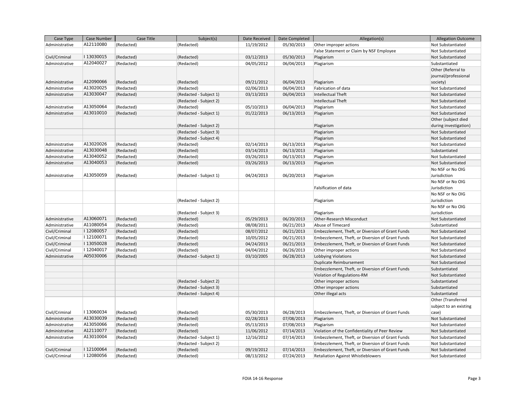| Case Type      | Case Number | Case Title | Subject(s)             | Date Received | Date Completed | Allegation(s)                                    | <b>Allegation Outcome</b> |
|----------------|-------------|------------|------------------------|---------------|----------------|--------------------------------------------------|---------------------------|
| Administrative | A12110080   | (Redacted) | (Redacted)             | 11/19/2012    | 05/30/2013     | Other improper actions                           | Not Substantiated         |
|                |             |            |                        |               |                | False Statement or Claim by NSF Employee         | Not Substantiated         |
| Civil/Criminal | I13030015   | (Redacted) | (Redacted)             | 03/12/2013    | 05/30/2013     | Plagiarism                                       | Not Substantiated         |
| Administrative | A12040027   | (Redacted) | (Redacted)             | 04/05/2012    | 06/04/2013     | Plagiarism                                       | Substantiated             |
|                |             |            |                        |               |                |                                                  | Other (Referral to        |
|                |             |            |                        |               |                |                                                  | journal/professional      |
| Administrative | A12090066   | (Redacted) | (Redacted)             | 09/21/2012    | 06/04/2013     | Plagiarism                                       | society)                  |
| Administrative | A13020025   | (Redacted) | (Redacted)             | 02/06/2013    | 06/04/2013     | Fabrication of data                              | Not Substantiated         |
| Administrative | A13030047   | (Redacted) | (Redacted - Subject 1) | 03/13/2013    | 06/04/2013     | Intellectual Theft                               | Not Substantiated         |
|                |             |            | (Redacted - Subject 2) |               |                | Intellectual Theft                               | Not Substantiated         |
| Administrative | A13050064   | (Redacted) | (Redacted)             | 05/10/2013    | 06/04/2013     | Plagiarism                                       | Not Substantiated         |
| Administrative | A13010010   | (Redacted) | (Redacted - Subject 1) | 01/22/2013    | 06/13/2013     | Plagiarism                                       | Not Substantiated         |
|                |             |            |                        |               |                |                                                  | Other (subject died       |
|                |             |            | (Redacted - Subject 2) |               |                | Plagiarism                                       | during investigation)     |
|                |             |            | (Redacted - Subject 3) |               |                | Plagiarism                                       | Not Substantiated         |
|                |             |            | (Redacted - Subject 4) |               |                | Plagiarism                                       | Not Substantiated         |
| Administrative | A13020026   | (Redacted) | (Redacted)             | 02/14/2013    | 06/13/2013     | Plagiarism                                       | Not Substantiated         |
| Administrative | A13030048   | (Redacted) | (Redacted)             | 03/14/2013    | 06/13/2013     | Plagiarism                                       | Substantiated             |
| Administrative | A13040052   | (Redacted) | (Redacted)             | 03/26/2013    | 06/13/2013     | Plagiarism                                       | Not Substantiated         |
| Administrative | A13040053   | (Redacted) | (Redacted)             | 03/26/2013    | 06/13/2013     | Plagiarism                                       | Not Substantiated         |
|                |             |            |                        |               |                |                                                  | No NSF or No OIG          |
| Administrative | A13050059   | (Redacted) | (Redacted - Subject 1) | 04/24/2013    | 06/20/2013     | Plagiarism                                       | Jurisdiction              |
|                |             |            |                        |               |                |                                                  | No NSF or No OIG          |
|                |             |            |                        |               |                | Falsification of data                            | Jurisdiction              |
|                |             |            |                        |               |                |                                                  | No NSF or No OIG          |
|                |             |            | (Redacted - Subject 2) |               |                | Plagiarism                                       | Jurisdiction              |
|                |             |            |                        |               |                |                                                  | No NSF or No OIG          |
|                |             |            | (Redacted - Subject 3) |               |                | Plagiarism                                       | Jurisdiction              |
| Administrative | A13060071   | (Redacted) | (Redacted)             | 05/29/2013    | 06/20/2013     | Other-Research Misconduct                        | Not Substantiated         |
| Administrative | A11080054   | (Redacted) | (Redacted)             | 08/08/2011    | 06/21/2013     | Abuse of Timecard                                | Substantiated             |
| Civil/Criminal | I12080057   | (Redacted) | (Redacted)             | 08/07/2012    | 06/21/2013     | Embezzlement, Theft, or Diversion of Grant Funds | Not Substantiated         |
| Civil/Criminal | I12100071   | (Redacted) | (Redacted)             | 10/05/2012    | 06/21/2013     | Embezzlement, Theft, or Diversion of Grant Funds | Not Substantiated         |
| Civil/Criminal | I13050028   | (Redacted) | (Redacted)             | 04/24/2013    | 06/21/2013     | Embezzlement, Theft, or Diversion of Grant Funds | Not Substantiated         |
| Civil/Criminal | I12040017   | (Redacted) | (Redacted)             | 04/04/2012    | 06/26/2013     | Other improper actions                           | Not Substantiated         |
| Administrative | A05030006   | (Redacted) | (Redacted - Subject 1) | 03/10/2005    | 06/28/2013     | Lobbying Violations                              | Not Substantiated         |
|                |             |            |                        |               |                | <b>Duplicate Reimbursement</b>                   | Not Substantiated         |
|                |             |            |                        |               |                | Embezzlement, Theft, or Diversion of Grant Funds | Substantiated             |
|                |             |            |                        |               |                | Violation of Regulations-RM                      | Not Substantiated         |
|                |             |            | (Redacted - Subject 2) |               |                | Other improper actions                           | Substantiated             |
|                |             |            | (Redacted - Subject 3) |               |                | Other improper actions                           | Substantiated             |
|                |             |            | (Redacted - Subject 4) |               |                | Other illegal acts                               | Substantiated             |
|                |             |            |                        |               |                |                                                  | Other (Transferred        |
|                |             |            |                        |               |                |                                                  | subject to an existing    |
| Civil/Criminal | I13060034   | (Redacted) | (Redacted)             | 05/30/2013    | 06/28/2013     | Embezzlement, Theft, or Diversion of Grant Funds | case)                     |
| Administrative | A13030039   | (Redacted) | (Redacted)             | 02/28/2013    | 07/08/2013     | Plagiarism                                       | Not Substantiated         |
| Administrative | A13050066   | (Redacted) | (Redacted)             | 05/13/2013    | 07/08/2013     | Plagiarism                                       | Not Substantiated         |
| Administrative | A12110077   | (Redacted) | (Redacted)             | 11/06/2012    | 07/14/2013     | Violation of the Confidentiality of Peer Review  | Not Substantiated         |
| Administrative | A13010004   | (Redacted) | (Redacted - Subject 1) | 12/16/2012    | 07/14/2013     | Embezzlement, Theft, or Diversion of Grant Funds | Not Substantiated         |
|                |             |            | (Redacted - Subject 2) |               |                | Embezzlement, Theft, or Diversion of Grant Funds | Not Substantiated         |
| Civil/Criminal | I12100064   | (Redacted) | (Redacted)             | 09/19/2012    | 07/14/2013     | Embezzlement, Theft, or Diversion of Grant Funds | Not Substantiated         |
| Civil/Criminal | I12080056   | (Redacted) | (Redacted)             | 08/13/2012    | 07/24/2013     | <b>Retaliation Against Whistleblowers</b>        | Not Substantiated         |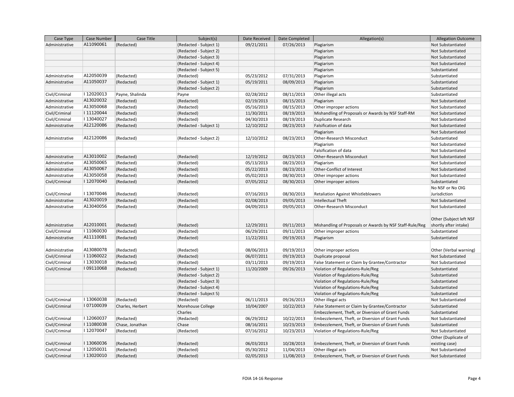| Case Type      | Case Number | Case Title       | Subject(s)             | Date Received | Date Completed | Allegation(s)                                            | <b>Allegation Outcome</b>                        |
|----------------|-------------|------------------|------------------------|---------------|----------------|----------------------------------------------------------|--------------------------------------------------|
| Administrative | A11090061   | (Redacted)       | (Redacted - Subject 1) | 09/21/2011    | 07/26/2013     | Plagiarism                                               | Not Substantiated                                |
|                |             |                  | (Redacted - Subject 2) |               |                | Plagiarism                                               | Not Substantiated                                |
|                |             |                  | (Redacted - Subject 3) |               |                | Plagiarism                                               | Not Substantiated                                |
|                |             |                  | (Redacted - Subject 4) |               |                | Plagiarism                                               | Not Substantiated                                |
|                |             |                  | (Redacted - Subject 5) |               |                | Plagiarism                                               | Substantiated                                    |
| Administrative | A12050039   | (Redacted)       | (Redacted)             | 05/23/2012    | 07/31/2013     | Plagiarism                                               | Substantiated                                    |
| Administrative | A11050037   | (Redacted)       | (Redacted - Subject 1) | 05/19/2011    | 08/09/2013     | Plagiarism                                               | Substantiated                                    |
|                |             |                  | (Redacted - Subject 2) |               |                | Plagiarism                                               | Substantiated                                    |
| Civil/Criminal | I12020013   | Payne, Shalinda  | Payne                  | 02/28/2012    | 08/11/2013     | Other illegal acts                                       | Substantiated                                    |
| Administrative | A13020032   | (Redacted)       | (Redacted)             | 02/19/2013    | 08/15/2013     | Plagiarism                                               | Not Substantiated                                |
| Administrative | A13050068   | (Redacted)       | (Redacted)             | 05/16/2013    | 08/15/2013     | Other improper actions                                   | Not Substantiated                                |
| Civil/Criminal | I11120044   | (Redacted)       | (Redacted)             | 11/30/2011    | 08/19/2013     | Mishandling of Proposals or Awards by NSF Staff-RM       | Not Substantiated                                |
| Civil/Criminal | I13040027   | (Redacted)       | (Redacted)             | 04/30/2013    | 08/19/2013     | Duplicate Research                                       | Not Substantiated                                |
| Administrative | A12120086   | (Redacted)       | (Redacted - Subject 1) | 12/10/2012    | 08/23/2013     | Falsification of data                                    | Not Substantiated                                |
|                |             |                  |                        |               |                | Plagiarism                                               | Not Substantiated                                |
| Administrative | A12120086   | (Redacted)       | (Redacted - Subject 2) | 12/10/2012    | 08/23/2013     | Other-Research Misconduct                                | Substantiated                                    |
|                |             |                  |                        |               |                | Plagiarism                                               | Not Substantiated                                |
|                |             |                  |                        |               |                | Falsification of data                                    | Not Substantiated                                |
| Administrative | A13010002   | (Redacted)       | (Redacted)             | 12/19/2012    | 08/23/2013     | <b>Other-Research Misconduct</b>                         | Not Substantiated                                |
| Administrative | A13050065   | (Redacted)       | (Redacted)             | 05/13/2013    | 08/23/2013     | Plagiarism                                               | Not Substantiated                                |
| Administrative | A13050067   | (Redacted)       | (Redacted)             | 05/22/2013    | 08/23/2013     | Other-Conflict of Interest                               | Not Substantiated                                |
| Administrative | A13050058   | (Redacted)       | (Redacted)             | 05/02/2013    | 08/30/2013     | Other improper actions                                   | Not Substantiated                                |
| Civil/Criminal | I12070040   | (Redacted)       | (Redacted)             | 07/05/2012    | 08/30/2013     | Other improper actions                                   | Substantiated                                    |
|                |             |                  |                        |               |                |                                                          | No NSF or No OIG                                 |
| Civil/Criminal | I13070046   | (Redacted)       | (Redacted)             | 07/16/2013    | 08/30/2013     | <b>Retaliation Against Whistleblowers</b>                | Jurisdiction                                     |
| Administrative | A13020019   | (Redacted)       | (Redacted)             | 02/08/2013    | 09/05/2013     | <b>Intellectual Theft</b>                                | Not Substantiated                                |
| Administrative | A13040056   | (Redacted)       | (Redacted)             | 04/09/2013    | 09/05/2013     | <b>Other-Research Misconduct</b>                         | Not Substantiated                                |
| Administrative | A12010001   | (Redacted)       | (Redacted)             | 12/29/2011    | 09/11/2013     | Mishandling of Proposals or Awards by NSF Staff-Rule/Reg | Other (Subject left NSF<br>shortly after intake) |
| Civil/Criminal | I11060030   | (Redacted)       | (Redacted)             | 06/29/2011    | 09/11/2013     | Other improper actions                                   | Substantiated                                    |
| Administrative | A11110081   | (Redacted)       | (Redacted)             | 11/22/2011    | 09/19/2013     | Plagiarism                                               | Substantiated                                    |
| Administrative | A13080078   | (Redacted)       | (Redacted)             | 08/06/2013    | 09/19/2013     | Other improper actions                                   | Other (Verbal warning)                           |
| Civil/Criminal | I11060022   | (Redacted)       | (Redacted)             | 06/07/2011    | 09/19/2013     | Duplicate proposal                                       | Not Substantiated                                |
| Civil/Criminal | I13030018   | (Redacted)       | (Redacted)             | 03/11/2013    | 09/19/2013     | False Statement or Claim by Grantee/Contractor           | Not Substantiated                                |
| Civil/Criminal | I09110068   | (Redacted)       | (Redacted - Subject 1) | 11/20/2009    | 09/26/2013     | Violation of Regulations-Rule/Reg                        | Substantiated                                    |
|                |             |                  | (Redacted - Subject 2) |               |                | Violation of Regulations-Rule/Reg                        | Substantiated                                    |
|                |             |                  | (Redacted - Subject 3) |               |                | Violation of Regulations-Rule/Reg                        | Substantiated                                    |
|                |             |                  | (Redacted - Subject 4) |               |                | Violation of Regulations-Rule/Reg                        | Substantiated                                    |
|                |             |                  | (Redacted - Subject 5) |               |                | Violation of Regulations-Rule/Reg                        | Substantiated                                    |
| Civil/Criminal | I13060038   | (Redacted)       | (Redacted)             | 06/11/2013    | 09/26/2013     | Other illegal acts                                       | Not Substantiated                                |
| Civil/Criminal | I07100039   | Charles, Herbert | Morehouse College      | 10/04/2007    | 10/22/2013     | False Statement or Claim by Grantee/Contractor           | Substantiated                                    |
|                |             |                  | Charles                |               |                | Embezzlement, Theft, or Diversion of Grant Funds         | Substantiated                                    |
| Civil/Criminal | I12060037   | (Redacted)       | (Redacted)             | 06/29/2012    | 10/22/2013     | Embezzlement, Theft, or Diversion of Grant Funds         | Not Substantiated                                |
| Civil/Criminal | I11080038   | Chase, Jonathan  | Chase                  | 08/16/2011    | 10/23/2013     | Embezzlement, Theft, or Diversion of Grant Funds         | Substantiated                                    |
| Civil/Criminal | I12070047   | (Redacted)       | (Redacted)             | 07/16/2012    | 10/23/2013     | Violation of Regulations-Rule/Reg                        | Not Substantiated                                |
|                |             |                  |                        |               |                |                                                          | Other (Duplicate of                              |
| Civil/Criminal | I13060036   | (Redacted)       | (Redacted)             | 06/03/2013    | 10/28/2013     | Embezzlement, Theft, or Diversion of Grant Funds         | existing case)                                   |
| Civil/Criminal | I12050031   | (Redacted)       | (Redacted)             | 05/30/2012    | 11/04/2013     | Other illegal acts                                       | Not Substantiated                                |
| Civil/Criminal | I13020010   | (Redacted)       | (Redacted)             | 02/05/2013    | 11/08/2013     | Embezzlement, Theft, or Diversion of Grant Funds         | Not Substantiated                                |